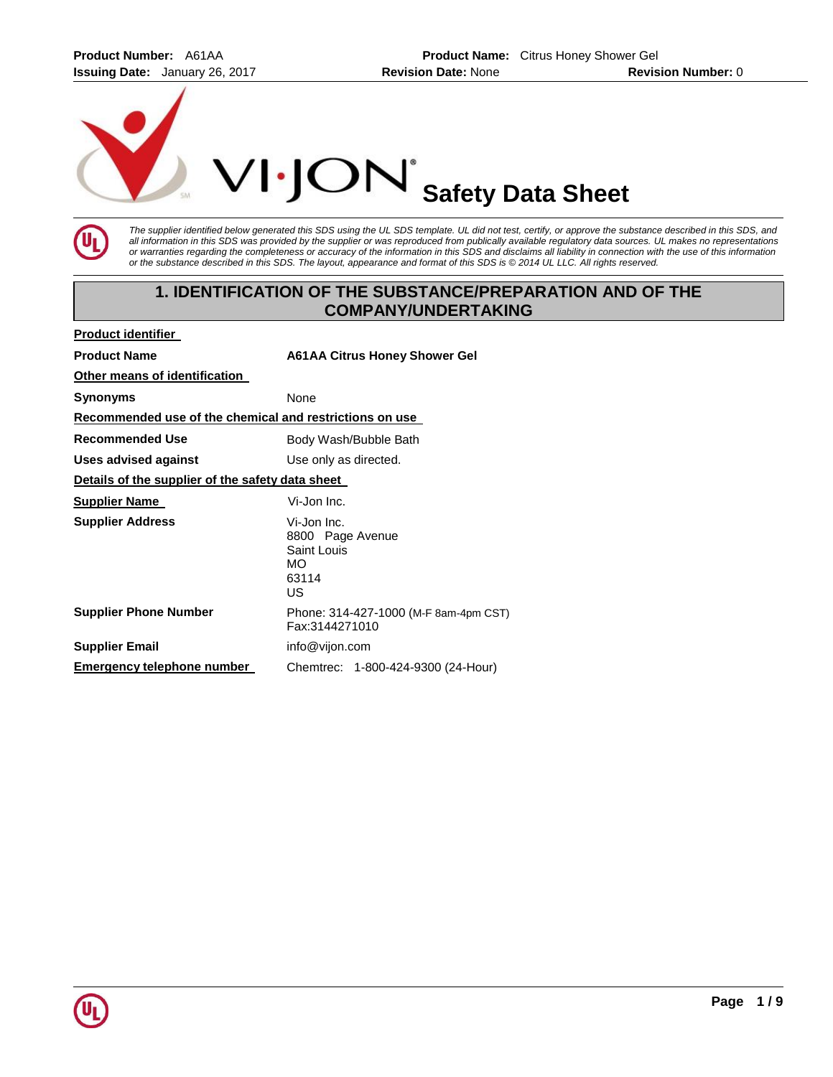**Product Number:** A61AA **Product Name:** Citrus Honey Shower Gel **Issuing Date:** January 26, 2017 **Revision Date:** None **Revision Number:** 0



The supplier identified below generated this SDS using the UL SDS template. UL did not test, certify, or approve the substance described in this SDS, and *all information in this SDS was provided by the supplier or was reproduced from publically available regulatory data sources. UL makes no representations or warranties regarding the completeness or accuracy of the information in this SDS and disclaims all liability in connection with the use of this information or the substance described in this SDS. The layout, appearance and format of this SDS is © 2014 UL LLC. All rights reserved.* 

# **1. IDENTIFICATION OF THE SUBSTANCE/PREPARATION AND OF THE COMPANY/UNDERTAKING**

| <b>Product identifier</b>                               |                                                                      |  |
|---------------------------------------------------------|----------------------------------------------------------------------|--|
| <b>Product Name</b>                                     | <b>A61AA Citrus Honey Shower Gel</b>                                 |  |
| Other means of identification                           |                                                                      |  |
| Synonyms                                                | None                                                                 |  |
| Recommended use of the chemical and restrictions on use |                                                                      |  |
| Recommended Use                                         | Body Wash/Bubble Bath                                                |  |
| Uses advised against                                    | Use only as directed.                                                |  |
| Details of the supplier of the safety data sheet        |                                                                      |  |
| <b>Supplier Name</b>                                    | Vi-Jon Inc.                                                          |  |
| <b>Supplier Address</b>                                 | Vi-Jon Inc.<br>8800 Page Avenue<br>Saint Louis<br>MO.<br>63114<br>US |  |
| <b>Supplier Phone Number</b>                            | Phone: 314-427-1000 (M-F 8am-4pm CST)<br>Fax:3144271010              |  |
| <b>Supplier Email</b>                                   | info@vijon.com                                                       |  |
| Emergency telephone number                              | Chemtrec: 1-800-424-9300 (24-Hour)                                   |  |

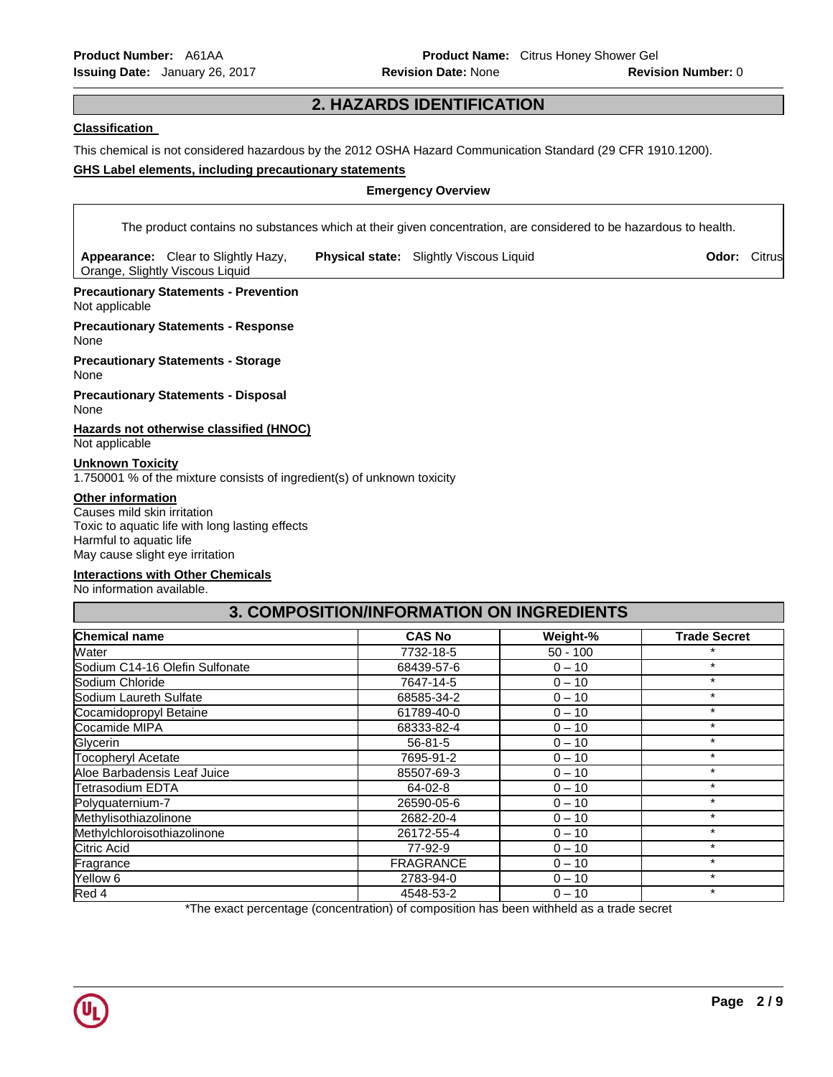# **2. HAZARDS IDENTIFICATION**

#### **Classification**

This chemical is not considered hazardous by the 2012 OSHA Hazard Communication Standard (29 CFR 1910.1200).

#### **GHS Label elements, including precautionary statements**

#### **Emergency Overview**

The product contains no substances which at their given concentration, are considered to be hazardous to health.

**Appearance:** Clear to Slightly Hazy, Orange, Slightly Viscous Liquid

**Physical state:** Slightly Viscous Liquid **CHA CODE: Construct CHA CODE: Citrus** 

**Precautionary Statements - Prevention** Not applicable

**Precautionary Statements - Response** None

**Precautionary Statements - Storage** None

**Precautionary Statements - Disposal** None

**Hazards not otherwise classified (HNOC)** Not applicable

#### **Unknown Toxicity**

1.750001 % of the mixture consists of ingredient(s) of unknown toxicity

#### **Other information**

Causes mild skin irritation Toxic to aquatic life with long lasting effects Harmful to aquatic life May cause slight eye irritation

## **Interactions with Other Chemicals**

No information available.

| 3. COMPOSITION/INFORMATION ON INGREDIENTS |                  |            |                     |
|-------------------------------------------|------------------|------------|---------------------|
| Chemical name                             | <b>CAS No</b>    | Weight-%   | <b>Trade Secret</b> |
| Water                                     | 7732-18-5        | $50 - 100$ | $\star$             |
| Sodium C14-16 Olefin Sulfonate            | 68439-57-6       | $0 - 10$   | $\star$             |
| Sodium Chloride                           | 7647-14-5        | $0 - 10$   | $\star$             |
| Sodium Laureth Sulfate                    | 68585-34-2       | $0 - 10$   | $\star$             |
| Cocamidopropyl Betaine                    | 61789-40-0       | $0 - 10$   | $\ast$              |
| Cocamide MIPA                             | 68333-82-4       | $0 - 10$   | $\star$             |
| Glycerin                                  | 56-81-5          | $0 - 10$   | $\star$             |
| <b>Tocopheryl Acetate</b>                 | 7695-91-2        | $0 - 10$   | $\star$             |
| Aloe Barbadensis Leaf Juice               | 85507-69-3       | $0 - 10$   | $\star$             |
| Tetrasodium EDTA                          | 64-02-8          | $0 - 10$   | $\star$             |
| Polyquaternium-7                          | 26590-05-6       | $0 - 10$   | $\star$             |
| Methylisothiazolinone                     | 2682-20-4        | $0 - 10$   | $\star$             |
| Methylchloroisothiazolinone               | 26172-55-4       | $0 - 10$   | $\star$             |
| Citric Acid                               | 77-92-9          | $0 - 10$   | $\star$             |
| Fragrance                                 | <b>FRAGRANCE</b> | $0 - 10$   | $\star$             |
| Yellow 6                                  | 2783-94-0        | $0 - 10$   | $\star$             |
| Red 4                                     | 4548-53-2        | $0 - 10$   | $\star$             |

\*The exact percentage (concentration) of composition has been withheld as a trade secret

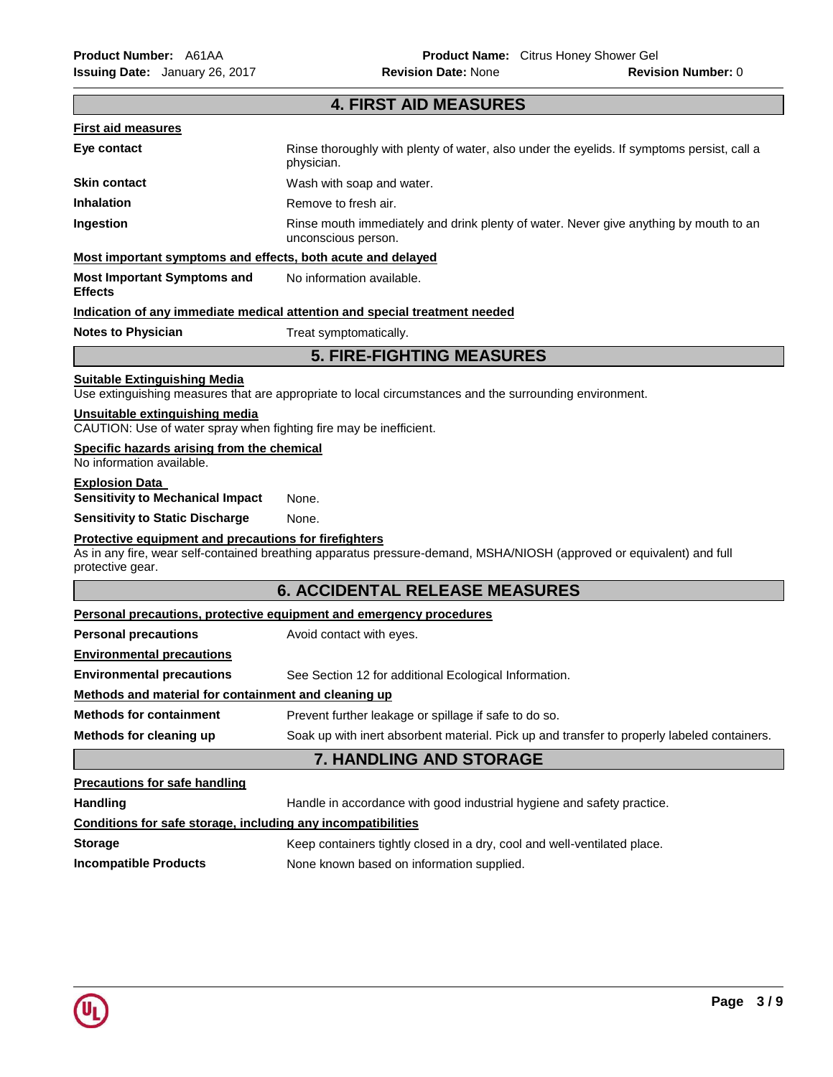| <b>4. FIRST AID MEASURES</b>                                                                         |                                                                                                                       |  |  |
|------------------------------------------------------------------------------------------------------|-----------------------------------------------------------------------------------------------------------------------|--|--|
| <b>First aid measures</b>                                                                            |                                                                                                                       |  |  |
| Eye contact                                                                                          | Rinse thoroughly with plenty of water, also under the eyelids. If symptoms persist, call a<br>physician.              |  |  |
| <b>Skin contact</b>                                                                                  | Wash with soap and water.                                                                                             |  |  |
| <b>Inhalation</b>                                                                                    | Remove to fresh air.                                                                                                  |  |  |
| Ingestion                                                                                            | Rinse mouth immediately and drink plenty of water. Never give anything by mouth to an<br>unconscious person.          |  |  |
| Most important symptoms and effects, both acute and delayed                                          |                                                                                                                       |  |  |
| <b>Most Important Symptoms and</b><br><b>Effects</b>                                                 | No information available.                                                                                             |  |  |
|                                                                                                      | Indication of any immediate medical attention and special treatment needed                                            |  |  |
| <b>Notes to Physician</b>                                                                            | Treat symptomatically.                                                                                                |  |  |
|                                                                                                      | <b>5. FIRE-FIGHTING MEASURES</b>                                                                                      |  |  |
| <b>Suitable Extinguishing Media</b>                                                                  | Use extinguishing measures that are appropriate to local circumstances and the surrounding environment.               |  |  |
| Unsuitable extinguishing media<br>CAUTION: Use of water spray when fighting fire may be inefficient. |                                                                                                                       |  |  |
| Specific hazards arising from the chemical<br>No information available.                              |                                                                                                                       |  |  |
| <b>Explosion Data</b><br><b>Sensitivity to Mechanical Impact</b>                                     | None.                                                                                                                 |  |  |
| <b>Sensitivity to Static Discharge</b>                                                               | None.                                                                                                                 |  |  |
| Protective equipment and precautions for firefighters<br>protective gear.                            | As in any fire, wear self-contained breathing apparatus pressure-demand, MSHA/NIOSH (approved or equivalent) and full |  |  |
|                                                                                                      | <b>6. ACCIDENTAL RELEASE MEASURES</b>                                                                                 |  |  |
|                                                                                                      | Personal precautions, protective equipment and emergency procedures                                                   |  |  |
| <b>Personal precautions</b>                                                                          | Avoid contact with eyes.                                                                                              |  |  |
| <b>Environmental precautions</b>                                                                     |                                                                                                                       |  |  |
| <b>Environmental precautions</b>                                                                     | See Section 12 for additional Ecological Information.                                                                 |  |  |
| Methods and material for containment and cleaning up                                                 |                                                                                                                       |  |  |
| <b>Methods for containment</b>                                                                       | Prevent further leakage or spillage if safe to do so.                                                                 |  |  |
| Methods for cleaning up                                                                              | Soak up with inert absorbent material. Pick up and transfer to properly labeled containers.                           |  |  |
|                                                                                                      | <b>7. HANDLING AND STORAGE</b>                                                                                        |  |  |
| <b>Precautions for safe handling</b>                                                                 |                                                                                                                       |  |  |
| <b>Handling</b>                                                                                      | Handle in accordance with good industrial hygiene and safety practice.                                                |  |  |
| Conditions for safe storage, including any incompatibilities                                         |                                                                                                                       |  |  |
| <b>Storage</b>                                                                                       | Keep containers tightly closed in a dry, cool and well-ventilated place.                                              |  |  |
| <b>Incompatible Products</b>                                                                         | None known based on information supplied.                                                                             |  |  |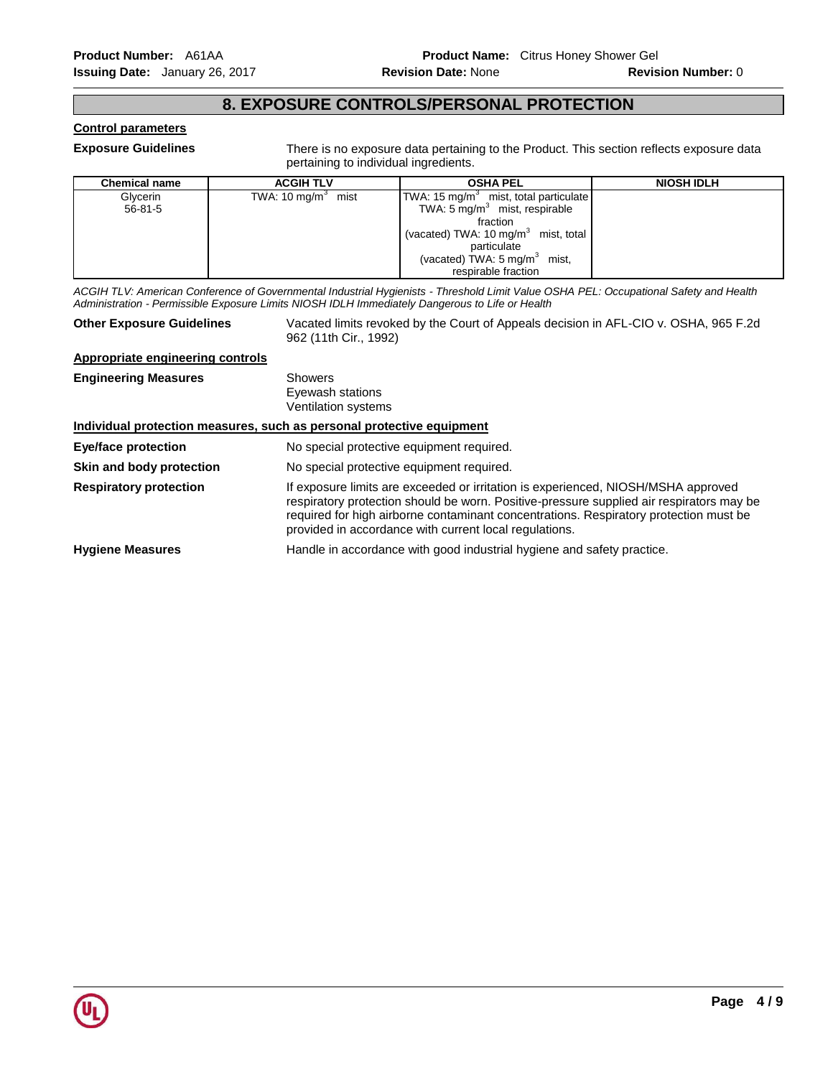## **8. EXPOSURE CONTROLS/PERSONAL PROTECTION**

#### **Control parameters**

**Exposure Guidelines** There is no exposure data pertaining to the Product. This section reflects exposure data pertaining to individual ingredients.

| <b>Chemical name</b> | <b>ACGIH TLV</b>               | <b>OSHA PEL</b>                                  | <b>NIOSH IDLH</b> |
|----------------------|--------------------------------|--------------------------------------------------|-------------------|
| Glycerin             | TWA: 10 mg/m <sup>3</sup> mist | TWA: $15 \text{ mg/m}^3$ mist, total particulate |                   |
| $56 - 81 - 5$        |                                | TWA: $5 \text{ mg/m}^3$ mist, respirable         |                   |
|                      |                                | fraction                                         |                   |
|                      |                                | (vacated) TWA: 10 $mg/m3$ mist, total            |                   |
|                      |                                | particulate                                      |                   |
|                      |                                | (vacated) TWA: $5 \text{ mg/m}^3$ mist,          |                   |
|                      |                                | respirable fraction                              |                   |

*ACGIH TLV: American Conference of Governmental Industrial Hygienists - Threshold Limit Value OSHA PEL: Occupational Safety and Health Administration - Permissible Exposure Limits NIOSH IDLH Immediately Dangerous to Life or Health* 

**Other Exposure Guidelines** Vacated limits revoked by the Court of Appeals decision in AFL-CIO v. OSHA, 965 F.2d 962 (11th Cir., 1992)

## **Appropriate engineering controls**

**Engineering Measures** Showers Eyewash stations Ventilation systems **Individual protection measures, such as personal protective equipment Eye/face protection** No special protective equipment required. **Skin and body protection** No special protective equipment required. **Respiratory protection** If exposure limits are exceeded or irritation is experienced, NIOSH/MSHA approved respiratory protection should be worn. Positive-pressure supplied air respirators may be required for high airborne contaminant concentrations. Respiratory protection must be provided in accordance with current local regulations. **Hygiene Measures** Handle in accordance with good industrial hygiene and safety practice.

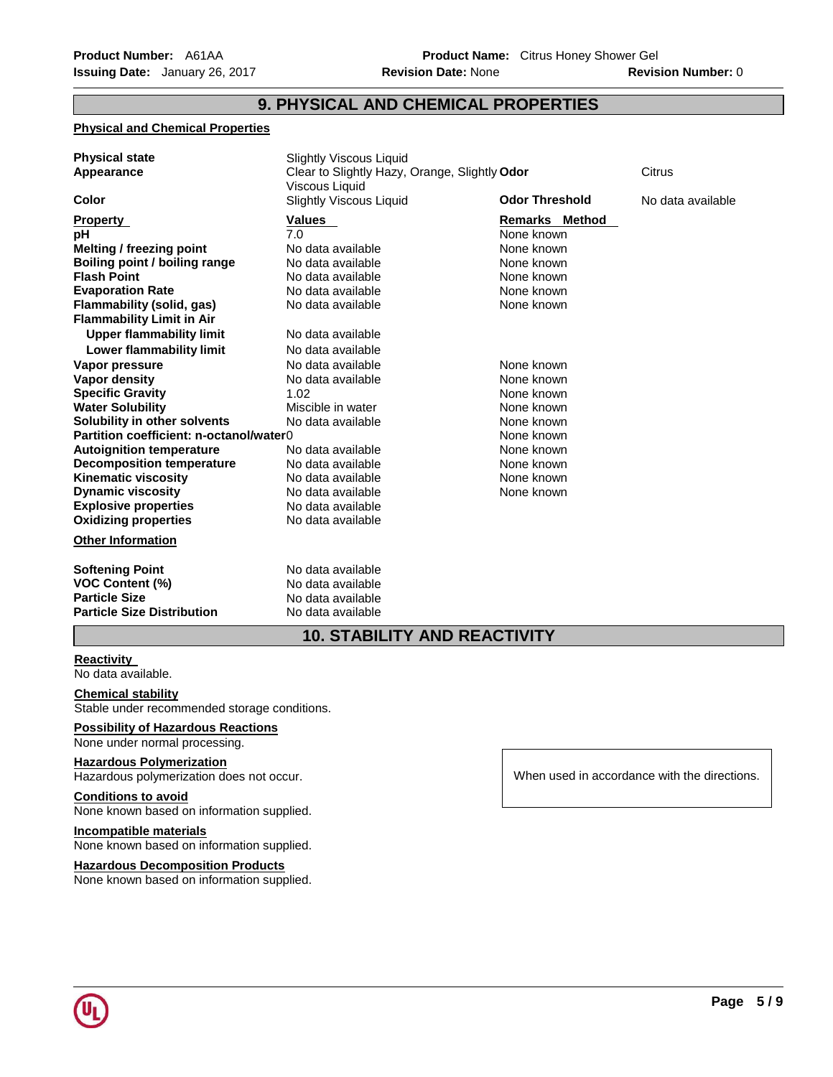## **9. PHYSICAL AND CHEMICAL PROPERTIES**

#### **Physical and Chemical Properties**

| <b>Physical state</b><br>Appearance                                                                                                                                                                                                                                                                                                                                                                                                                                                                                                                                              | <b>Slightly Viscous Liquid</b><br>Clear to Slightly Hazy, Orange, Slightly Odor<br>Viscous Liquid                                                                                                                                                                                                                                                |                                                                                                                                                                                                                                                       | Citrus            |
|----------------------------------------------------------------------------------------------------------------------------------------------------------------------------------------------------------------------------------------------------------------------------------------------------------------------------------------------------------------------------------------------------------------------------------------------------------------------------------------------------------------------------------------------------------------------------------|--------------------------------------------------------------------------------------------------------------------------------------------------------------------------------------------------------------------------------------------------------------------------------------------------------------------------------------------------|-------------------------------------------------------------------------------------------------------------------------------------------------------------------------------------------------------------------------------------------------------|-------------------|
| Color                                                                                                                                                                                                                                                                                                                                                                                                                                                                                                                                                                            | <b>Slightly Viscous Liquid</b>                                                                                                                                                                                                                                                                                                                   | <b>Odor Threshold</b>                                                                                                                                                                                                                                 | No data available |
| <b>Property</b><br>рH<br><b>Melting / freezing point</b><br>Boiling point / boiling range<br><b>Flash Point</b><br><b>Evaporation Rate</b><br>Flammability (solid, gas)<br><b>Flammability Limit in Air</b><br><b>Upper flammability limit</b><br>Lower flammability limit<br>Vapor pressure<br>Vapor density<br><b>Specific Gravity</b><br><b>Water Solubility</b><br>Solubility in other solvents<br>Partition coefficient: n-octanol/water 0<br><b>Autoignition temperature</b><br><b>Decomposition temperature</b><br><b>Kinematic viscosity</b><br><b>Dynamic viscosity</b> | Values<br>7.0<br>No data available<br>No data available<br>No data available<br>No data available<br>No data available<br>No data available<br>No data available<br>No data available<br>No data available<br>1.02<br>Miscible in water<br>No data available<br>No data available<br>No data available<br>No data available<br>No data available | <b>Remarks Method</b><br>None known<br>None known<br>None known<br>None known<br>None known<br>None known<br>None known<br>None known<br>None known<br>None known<br>None known<br>None known<br>None known<br>None known<br>None known<br>None known |                   |
| <b>Explosive properties</b>                                                                                                                                                                                                                                                                                                                                                                                                                                                                                                                                                      | No data available                                                                                                                                                                                                                                                                                                                                |                                                                                                                                                                                                                                                       |                   |
| <b>Oxidizing properties</b><br><b>Other Information</b>                                                                                                                                                                                                                                                                                                                                                                                                                                                                                                                          | No data available                                                                                                                                                                                                                                                                                                                                |                                                                                                                                                                                                                                                       |                   |
| <b>Softening Point</b><br><b>VOC Content (%)</b><br><b>Particle Size</b><br><b>Particle Size Distribution</b>                                                                                                                                                                                                                                                                                                                                                                                                                                                                    | No data available<br>No data available<br>No data available<br>No data available                                                                                                                                                                                                                                                                 |                                                                                                                                                                                                                                                       |                   |

# **10. STABILITY AND REACTIVITY**

#### **Reactivity**

No data available.

## **Chemical stability**

Stable under recommended storage conditions.

## **Possibility of Hazardous Reactions**

None under normal processing.

## **Hazardous Polymerization**

Hazardous polymerization does not occur.

#### **Conditions to avoid**

None known based on information supplied.

## **Incompatible materials**

None known based on information supplied.

#### **Hazardous Decomposition Products**

None known based on information supplied.

When used in accordance with the directions.

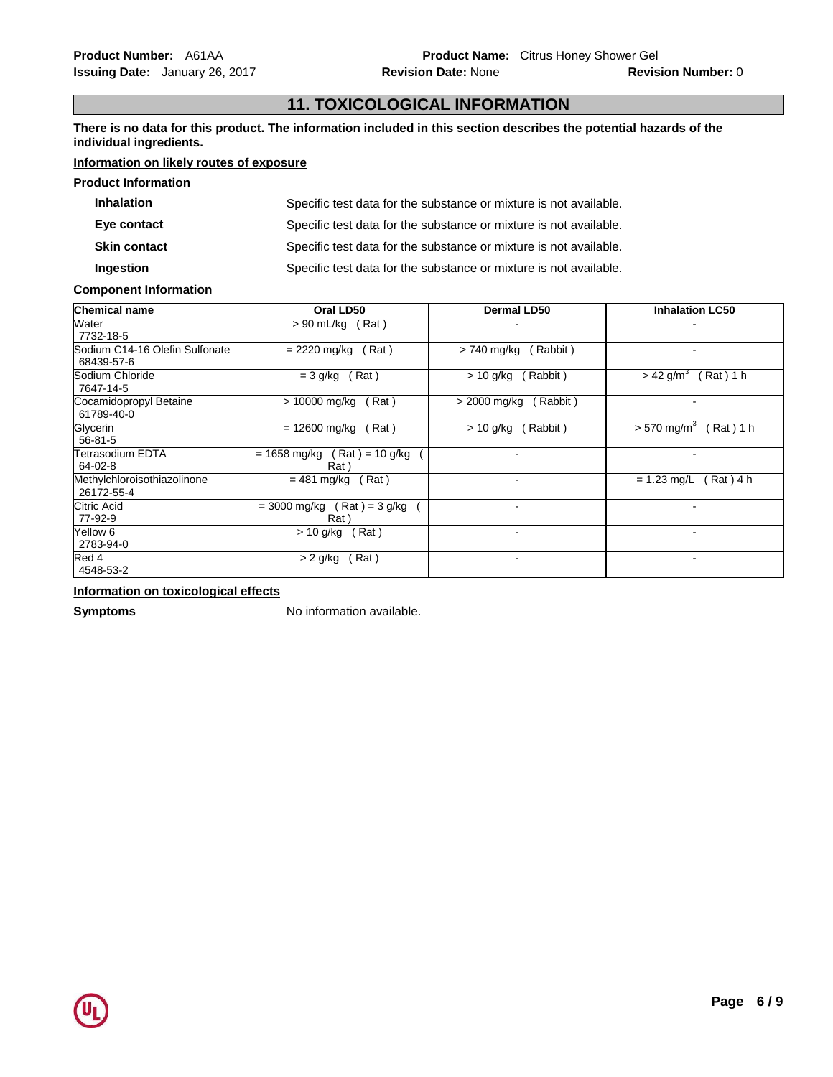# **11. TOXICOLOGICAL INFORMATION**

**There is no data for this product. The information included in this section describes the potential hazards of the individual ingredients.**

## **Information on likely routes of exposure**

| <b>Product Information</b> |                                                                   |
|----------------------------|-------------------------------------------------------------------|
| <b>Inhalation</b>          | Specific test data for the substance or mixture is not available. |
| Eye contact                | Specific test data for the substance or mixture is not available. |
| <b>Skin contact</b>        | Specific test data for the substance or mixture is not available. |
| Ingestion                  | Specific test data for the substance or mixture is not available. |

#### **Component Information**

| <b>Chemical name</b>                         | Oral LD50                                           | <b>Dermal LD50</b>       | <b>Inhalation LC50</b>                 |
|----------------------------------------------|-----------------------------------------------------|--------------------------|----------------------------------------|
| Water<br>7732-18-5                           | $> 90$ mL/kg (Rat)                                  |                          |                                        |
| Sodium C14-16 Olefin Sulfonate<br>68439-57-6 | $= 2220$ mg/kg<br>Rat)                              | > 740 mg/kg<br>(Rabbit)  | $\overline{\phantom{0}}$               |
| Sodium Chloride<br>7647-14-5                 | (Rat)<br>$= 3$ g/kg                                 | Rabbit)<br>$> 10$ g/kg   | $>$ 42 g/m <sup>3</sup><br>$(Rat)$ 1 h |
| Cocamidopropyl Betaine<br>61789-40-0         | > 10000 mg/kg<br>(Rat)                              | > 2000 mg/kg<br>(Rabbit) |                                        |
| Glycerin<br>$56 - 81 - 5$                    | (Rat)<br>= 12600 mg/kg                              | (Rabbit)<br>$> 10$ g/kg  | $> 570$ mg/m <sup>3</sup><br>(Rat) 1 h |
| <b>Tetrasodium EDTA</b><br>$64 - 02 - 8$     | $(Rat) = 10 g/kg$<br>$= 1658 \text{ mg/kg}$<br>Rat) |                          |                                        |
| Methylchloroisothiazolinone<br>26172-55-4    | $= 481$ mg/kg<br>(Rat)                              | $\overline{\phantom{a}}$ | $= 1.23$ mg/L<br>$(Rat)$ 4 h           |
| Citric Acid<br>77-92-9                       | $= 3000$ mg/kg (Rat) = 3 g/kg<br>Rat)               |                          |                                        |
| Yellow 6<br>2783-94-0                        | (Rat)<br>$> 10$ g/kg                                | $\overline{\phantom{a}}$ | $\,$                                   |
| Red 4<br>4548-53-2                           | Rat)<br>$> 2$ g/kg                                  |                          |                                        |

#### **Information on toxicological effects**

**Symptoms** No information available.

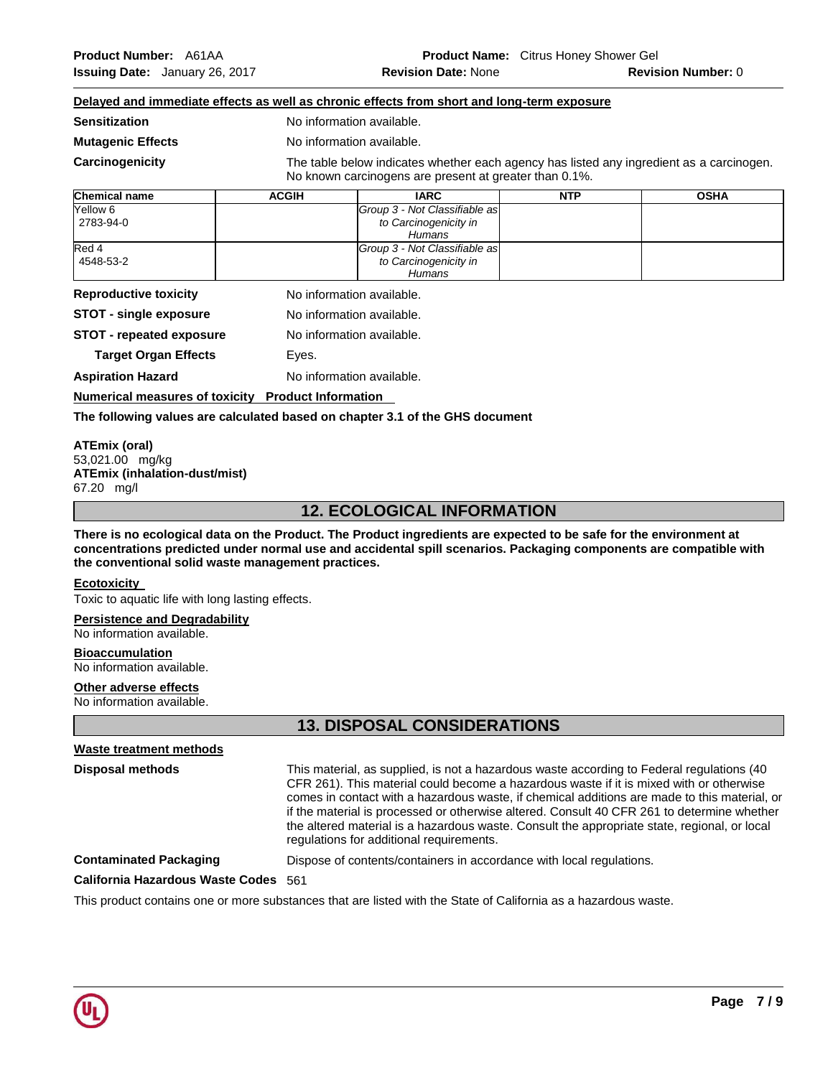## **Delayed and immediate effects as well as chronic effects from short and long-term exposure**

**Sensitization No information available.** 

**Mutagenic Effects No information available.** 

**Carcinogenicity** The table below indicates whether each agency has listed any ingredient as a carcinogen. No known carcinogens are present at greater than 0.1%.

| <b>Chemical name</b> | <b>ACGIH</b> | <b>IARC</b>                   | <b>NTP</b> | <b>OSHA</b> |
|----------------------|--------------|-------------------------------|------------|-------------|
| Yellow 6             |              | Group 3 - Not Classifiable as |            |             |
| 2783-94-0            |              | to Carcinogenicity in         |            |             |
|                      |              | Humans                        |            |             |
| Red 4                |              | Group 3 - Not Classifiable as |            |             |
| 4548-53-2            |              | to Carcinogenicity in         |            |             |
|                      |              | Humans                        |            |             |

**Reproductive toxicity No information available.** 

**STOT - single exposure** No information available.

**STOT - repeated exposure** No information available.

**Target Organ Effects** Eyes.

**Aspiration Hazard Maximum Respiration Hazard Maximum No information available.** 

**Numerical measures of toxicity Product Information** 

#### **The following values are calculated based on chapter 3.1 of the GHS document**

**ATEmix (oral)** 53,021.00 mg/kg **ATEmix (inhalation-dust/mist)** 67.20 mg/l

# **12. ECOLOGICAL INFORMATION**

**There is no ecological data on the Product. The Product ingredients are expected to be safe for the environment at concentrations predicted under normal use and accidental spill scenarios. Packaging components are compatible with the conventional solid waste management practices.**

#### **Ecotoxicity**

Toxic to aquatic life with long lasting effects.

## **Persistence and Degradability**

No information available.

#### **Bioaccumulation**

No information available.

#### **Other adverse effects**

No information available.

# **13. DISPOSAL CONSIDERATIONS**

#### **Waste treatment methods**

**Disposal methods** This material, as supplied, is not a hazardous waste according to Federal regulations (40 CFR 261). This material could become a hazardous waste if it is mixed with or otherwise comes in contact with a hazardous waste, if chemical additions are made to this material, or if the material is processed or otherwise altered. Consult 40 CFR 261 to determine whether the altered material is a hazardous waste. Consult the appropriate state, regional, or local regulations for additional requirements.

**Contaminated Packaging** Dispose of contents/containers in accordance with local regulations.

**California Hazardous Waste Codes** 561

This product contains one or more substances that are listed with the State of California as a hazardous waste.

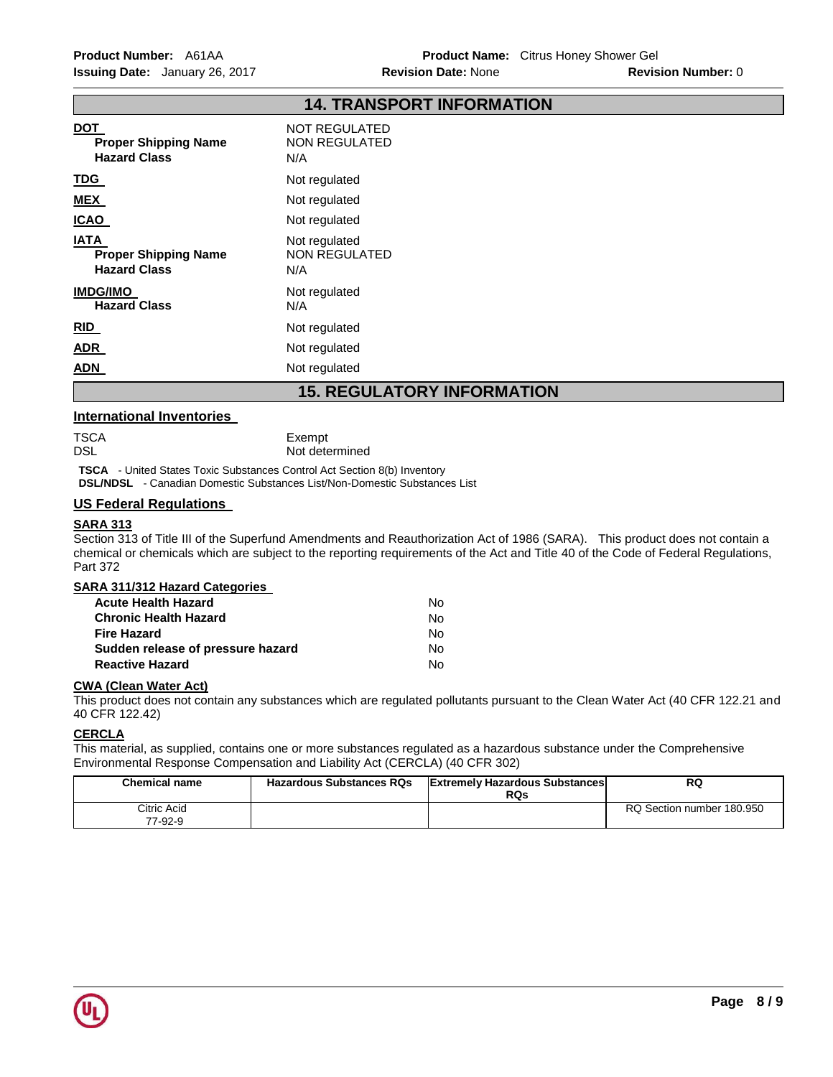|                                                                   | 14. IKANSPUKI INFUKWAIIUN                               |
|-------------------------------------------------------------------|---------------------------------------------------------|
| <b>DOT</b><br><b>Proper Shipping Name</b><br><b>Hazard Class</b>  | <b>NOT REGULATED</b><br>NON REGULATED<br>N/A            |
| <u>TDG</u>                                                        | Not regulated                                           |
| <u>MEX</u>                                                        | Not regulated                                           |
| <b>ICAO</b>                                                       | Not regulated                                           |
| <b>IATA</b><br><b>Proper Shipping Name</b><br><b>Hazard Class</b> | Not regulated<br><b>NON REGULATED</b><br>N/A            |
| <b>IMDG/IMO</b><br><b>Hazard Class</b>                            | Not regulated<br>N/A                                    |
| RID                                                               | Not regulated                                           |
| <b>ADR</b>                                                        | Not regulated                                           |
| <b>ADN</b>                                                        | Not regulated                                           |
|                                                                   | 1 = = = 4 : :: 1 = 4 = \/ :\: = 4 = \ = 1 = 1 = \ + \ : |

**14. TRANSPORT INFORMATION** 

# **15. REGULATORY INFORMATION**

#### **International Inventories**

| TSCA | Exempt         |
|------|----------------|
| DSL  | Not determined |

**TSCA** - United States Toxic Substances Control Act Section 8(b) Inventory

**DSL/NDSL** - Canadian Domestic Substances List/Non-Domestic Substances List

## **US Federal Regulations**

#### **SARA 313**

Section 313 of Title III of the Superfund Amendments and Reauthorization Act of 1986 (SARA). This product does not contain a chemical or chemicals which are subject to the reporting requirements of the Act and Title 40 of the Code of Federal Regulations, Part 372

| SARA 311/312 Hazard Categories    |    |
|-----------------------------------|----|
| <b>Acute Health Hazard</b>        | Nο |
| <b>Chronic Health Hazard</b>      | Nο |
| <b>Fire Hazard</b>                | Nο |
| Sudden release of pressure hazard | Nο |
| <b>Reactive Hazard</b>            | N٥ |

#### **CWA (Clean Water Act)**

This product does not contain any substances which are regulated pollutants pursuant to the Clean Water Act (40 CFR 122.21 and 40 CFR 122.42)

## **CERCLA**

This material, as supplied, contains one or more substances regulated as a hazardous substance under the Comprehensive Environmental Response Compensation and Liability Act (CERCLA) (40 CFR 302)

| <b>Chemical name</b>   | <b>Hazardous Substances RQs</b> | <b>Extremely Hazardous Substances</b><br>RQs | RQ                        |
|------------------------|---------------------------------|----------------------------------------------|---------------------------|
| Citric Acid<br>77-92-9 |                                 |                                              | RQ Section number 180.950 |